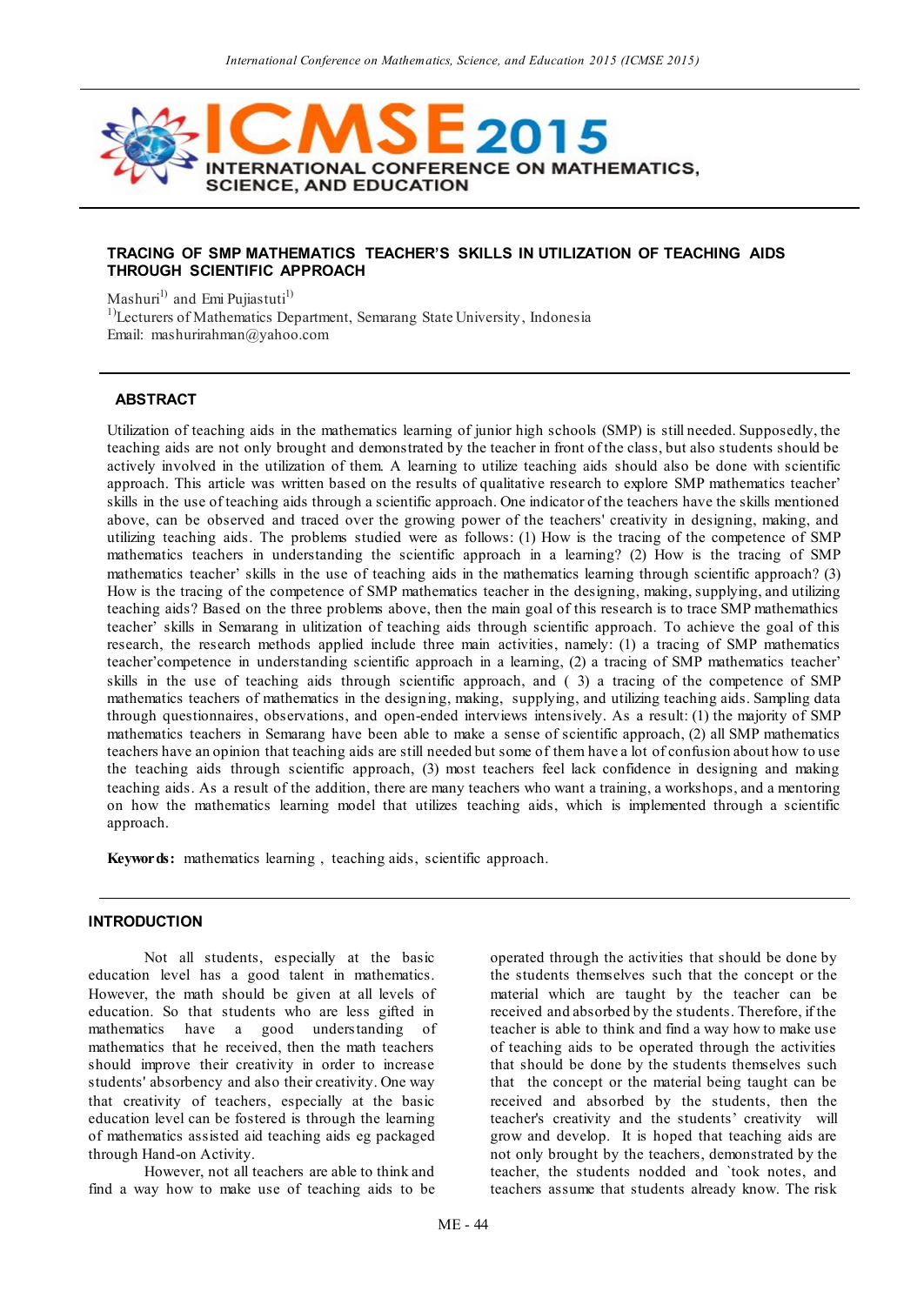

#### **TRACING OF SMP MATHEMATICS TEACHER'S SKILLS IN UTILIZATION OF TEACHING AIDS THROUGH SCIENTIFIC APPROACH**

Mashuri<sup>1)</sup> and Emi Pujiastuti<sup>1)</sup>

<sup>1)</sup>Lecturers of Mathematics Department, Semarang State University, Indonesia Email: mashurirahman@yahoo.com

#### **ABSTRACT**

Utilization of teaching aids in the mathematics learning of junior high schools (SMP) is still needed. Supposedly, the teaching aids are not only brought and demonstrated by the teacher in front of the class, but also students should be actively involved in the utilization of them. A learning to utilize teaching aids should also be done with scientific approach. This article was written based on the results of qualitative research to explore SMP mathematics teacher' skills in the use of teaching aids through a scientific approach. One indicator of the teachers have the skills mentioned above, can be observed and traced over the growing power of the teachers' creativity in designing, making, and utilizing teaching aids. The problems studied were as follows: (1) How is the tracing of the competence of SMP mathematics teachers in understanding the scientific approach in a learning? (2) How is the tracing of SMP mathematics teacher' skills in the use of teaching aids in the mathematics learning through scientific approach? (3) How is the tracing of the competence of SMP mathematics teacher in the designing, making, supplying, and utilizing teaching aids? Based on the three problems above, then the main goal of this research is to trace SMP mathemathics teacher' skills in Semarang in ulitization of teaching aids through scientific approach. To achieve the goal of this research, the research methods applied include three main activities, namely: (1) a tracing of SMP mathematics teacher'competence in understanding scientific approach in a learning, (2) a tracing of SMP mathematics teacher' skills in the use of teaching aids through scientific approach, and ( 3) a tracing of the competence of SMP mathematics teachers of mathematics in the designing, making, supplying, and utilizing teaching aids. Sampling data through questionnaires, observations, and open-ended interviews intensively. As a result: (1) the majority of SMP mathematics teachers in Semarang have been able to make a sense of scientific approach, (2) all SMP mathematics teachers have an opinion that teaching aids are still needed but some of them have a lot of confusion about how to use the teaching aids through scientific approach, (3) most teachers feel lack confidence in designing and making teaching aids. As a result of the addition, there are many teachers who want a training, a workshops, and a mentoring on how the mathematics learning model that utilizes teaching aids, which is implemented through a scientific approach.

**Keywords:** mathematics learning , teaching aids, scientific approach.

#### **INTRODUCTION**

Not all students, especially at the basic education level has a good talent in mathematics. However, the math should be given at all levels of education. So that students who are less gifted in mathematics have a good understanding of mathematics that he received, then the math teachers should improve their creativity in order to increase students' absorbency and also their creativity. One way that creativity of teachers, especially at the basic education level can be fostered is through the learning of mathematics assisted aid teaching aids eg packaged through Hand-on Activity.

However, not all teachers are able to think and find a way how to make use of teaching aids to be operated through the activities that should be done by the students themselves such that the concept or the material which are taught by the teacher can be received and absorbed by the students. Therefore, if the teacher is able to think and find a way how to make use of teaching aids to be operated through the activities that should be done by the students themselves such that the concept or the material being taught can be received and absorbed by the students, then the teacher's creativity and the students' creativity will grow and develop. It is hoped that teaching aids are not only brought by the teachers, demonstrated by the teacher, the students nodded and `took notes, and teachers assume that students already know. The risk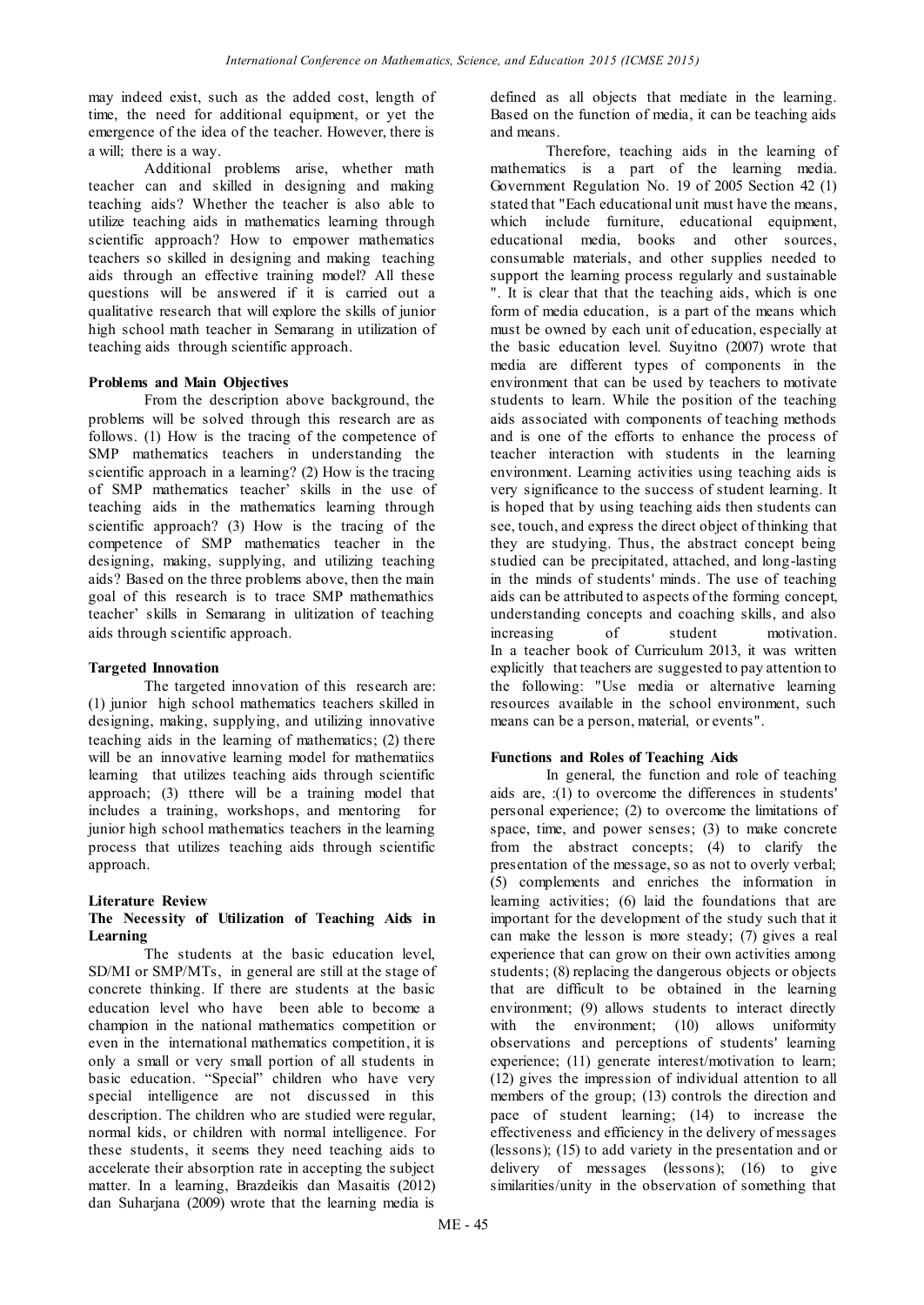may indeed exist, such as the added cost, length of time, the need for additional equipment, or yet the emergence of the idea of the teacher. However, there is a will; there is a way.

Additional problems arise, whether math teacher can and skilled in designing and making teaching aids? Whether the teacher is also able to utilize teaching aids in mathematics learning through scientific approach? How to empower mathematics teachers so skilled in designing and making teaching aids through an effective training model? All these questions will be answered if it is carried out a qualitative research that will explore the skills of junior high school math teacher in Semarang in utilization of teaching aids through scientific approach.

## **Problems and Main Objectives**

From the description above background, the problems will be solved through this research are as follows. (1) How is the tracing of the competence of SMP mathematics teachers in understanding the scientific approach in a learning? (2) How is the tracing of SMP mathematics teacher' skills in the use of teaching aids in the mathematics learning through scientific approach? (3) How is the tracing of the competence of SMP mathematics teacher in the designing, making, supplying, and utilizing teaching aids? Based on the three problems above, then the main goal of this research is to trace SMP mathemathics teacher' skills in Semarang in ulitization of teaching aids through scientific approach.

# **Targeted Innovation**

The targeted innovation of this research are: (1) junior high school mathematics teachers skilled in designing, making, supplying, and utilizing innovative teaching aids in the learning of mathematics; (2) there will be an innovative learning model for mathematiics learning that utilizes teaching aids through scientific approach; (3) tthere will be a training model that includes a training, workshops, and mentoring for junior high school mathematics teachers in the learning process that utilizes teaching aids through scientific approach.

## **Literature Review**

## **The Necessity of Utilization of Teaching Aids in Learning**

The students at the basic education level, SD/MI or SMP/MTs, in general are still at the stage of concrete thinking. If there are students at the basic education level who have been able to become a champion in the national mathematics competition or even in the international mathematics competition, it is only a small or very small portion of all students in basic education. "Special" children who have very special intelligence are not discussed in this description. The children who are studied were regular, normal kids, or children with normal intelligence. For these students, it seems they need teaching aids to accelerate their absorption rate in accepting the subject matter. In a learning, Brazdeikis dan Masaitis (2012) dan Suharjana (2009) wrote that the learning media is

defined as all objects that mediate in the learning. Based on the function of media, it can be teaching aids and means.

Therefore, teaching aids in the learning of mathematics is a part of the learning media. Government Regulation No. 19 of 2005 Section 42 (1) stated that "Each educational unit must have the means, which include furniture, educational equipment, educational media, books and other sources, consumable materials, and other supplies needed to support the learning process regularly and sustainable ". It is clear that that the teaching aids, which is one form of media education, is a part of the means which must be owned by each unit of education, especially at the basic education level. Suyitno (2007) wrote that media are different types of components in the environment that can be used by teachers to motivate students to learn. While the position of the teaching aids associated with components of teaching methods and is one of the efforts to enhance the process of teacher interaction with students in the learning environment. Learning activities using teaching aids is very significance to the success of student learning. It is hoped that by using teaching aids then students can see, touch, and express the direct object of thinking that they are studying. Thus, the abstract concept being studied can be precipitated, attached, and long-lasting in the minds of students' minds. The use of teaching aids can be attributed to aspects of the forming concept, understanding concepts and coaching skills, and also increasing of student motivation. In a teacher book of Curriculum 2013, it was written explicitly that teachers are suggested to pay attention to the following: "Use media or alternative learning resources available in the school environment, such means can be a person, material, or events".

# **Functions and Roles of Teaching Aids**

In general, the function and role of teaching aids are, :(1) to overcome the differences in students' personal experience; (2) to overcome the limitations of space, time, and power senses; (3) to make concrete from the abstract concepts; (4) to clarify the presentation of the message, so as not to overly verbal; (5) complements and enriches the information in learning activities; (6) laid the foundations that are important for the development of the study such that it can make the lesson is more steady; (7) gives a real experience that can grow on their own activities among students; (8) replacing the dangerous objects or objects that are difficult to be obtained in the learning environment; (9) allows students to interact directly with the environment; (10) allows uniformity observations and perceptions of students' learning experience; (11) generate interest/motivation to learn; (12) gives the impression of individual attention to all members of the group; (13) controls the direction and pace of student learning; (14) to increase the effectiveness and efficiency in the delivery of messages (lessons); (15) to add variety in the presentation and or delivery of messages (lessons); (16) to give similarities/unity in the observation of something that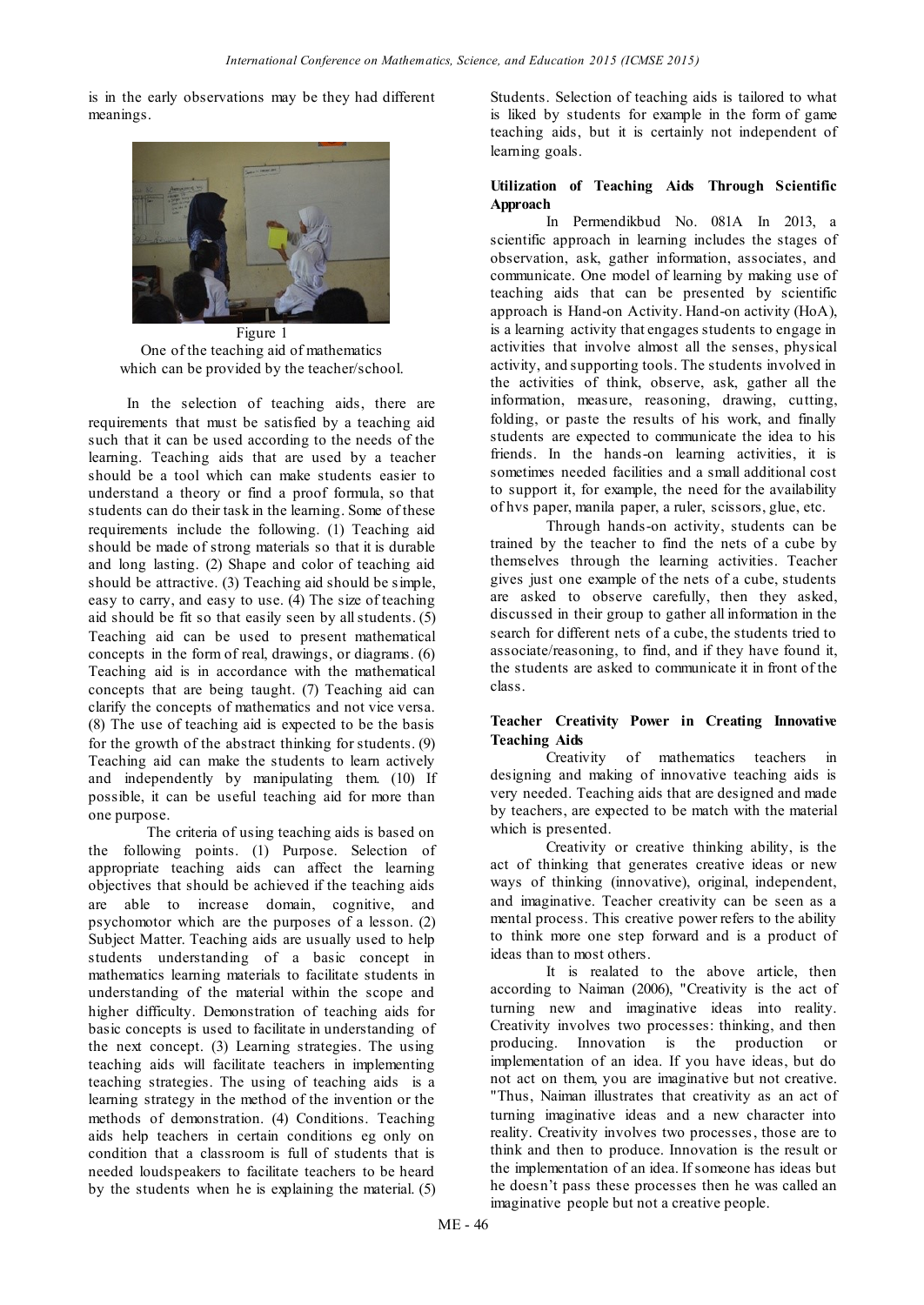is in the early observations may be they had different meanings.



Figure 1 One of the teaching aid of mathematics which can be provided by the teacher/school.

 In the selection of teaching aids, there are requirements that must be satisfied by a teaching aid such that it can be used according to the needs of the learning. Teaching aids that are used by a teacher should be a tool which can make students easier to understand a theory or find a proof formula, so that students can do their task in the learning. Some of these requirements include the following. (1) Teaching aid should be made of strong materials so that it is durable and long lasting. (2) Shape and color of teaching aid should be attractive. (3) Teaching aid should be simple, easy to carry, and easy to use. (4) The size of teaching aid should be fit so that easily seen by all students. (5) Teaching aid can be used to present mathematical concepts in the form of real, drawings, or diagrams. (6) Teaching aid is in accordance with the mathematical concepts that are being taught. (7) Teaching aid can clarify the concepts of mathematics and not vice versa. (8) The use of teaching aid is expected to be the basis for the growth of the abstract thinking for students. (9) Teaching aid can make the students to learn actively and independently by manipulating them. (10) If possible, it can be useful teaching aid for more than one purpose.

The criteria of using teaching aids is based on the following points. (1) Purpose. Selection of appropriate teaching aids can affect the learning objectives that should be achieved if the teaching aids are able to increase domain, cognitive, and psychomotor which are the purposes of a lesson. (2) Subject Matter. Teaching aids are usually used to help students understanding of a basic concept in mathematics learning materials to facilitate students in understanding of the material within the scope and higher difficulty. Demonstration of teaching aids for basic concepts is used to facilitate in understanding of the next concept. (3) Learning strategies. The using teaching aids will facilitate teachers in implementing teaching strategies. The using of teaching aids is a learning strategy in the method of the invention or the methods of demonstration. (4) Conditions. Teaching aids help teachers in certain conditions eg only on condition that a classroom is full of students that is needed loudspeakers to facilitate teachers to be heard by the students when he is explaining the material. (5)

Students. Selection of teaching aids is tailored to what is liked by students for example in the form of game teaching aids, but it is certainly not independent of learning goals.

## **Utilization of Teaching Aids Through Scientific Approach**

In Permendikbud No. 081A In 2013, a scientific approach in learning includes the stages of observation, ask, gather information, associates, and communicate. One model of learning by making use of teaching aids that can be presented by scientific approach is Hand-on Activity. Hand-on activity (HoA), is a learning activity that engages students to engage in activities that involve almost all the senses, physical activity, and supporting tools. The students involved in the activities of think, observe, ask, gather all the information, measure, reasoning, drawing, cutting, folding, or paste the results of his work, and finally students are expected to communicate the idea to his friends. In the hands-on learning activities, it is sometimes needed facilities and a small additional cost to support it, for example, the need for the availability of hvs paper, manila paper, a ruler, scissors, glue, etc.

Through hands-on activity, students can be trained by the teacher to find the nets of a cube by themselves through the learning activities. Teacher gives just one example of the nets of a cube, students are asked to observe carefully, then they asked, discussed in their group to gather all information in the search for different nets of a cube, the students tried to associate/reasoning, to find, and if they have found it, the students are asked to communicate it in front of the class.

## **Teacher Creativity Power in Creating Innovative Teaching Aids**

Creativity of mathematics teachers in designing and making of innovative teaching aids is very needed. Teaching aids that are designed and made by teachers, are expected to be match with the material which is presented.

Creativity or creative thinking ability, is the act of thinking that generates creative ideas or new ways of thinking (innovative), original, independent, and imaginative. Teacher creativity can be seen as a mental process. This creative power refers to the ability to think more one step forward and is a product of ideas than to most others.

It is realated to the above article, then according to Naiman (2006), "Creativity is the act of turning new and imaginative ideas into reality. Creativity involves two processes: thinking, and then producing. Innovation is the production or implementation of an idea. If you have ideas, but do not act on them, you are imaginative but not creative. "Thus, Naiman illustrates that creativity as an act of turning imaginative ideas and a new character into reality. Creativity involves two processes, those are to think and then to produce. Innovation is the result or the implementation of an idea. If someone has ideas but he doesn't pass these processes then he was called an imaginative people but not a creative people.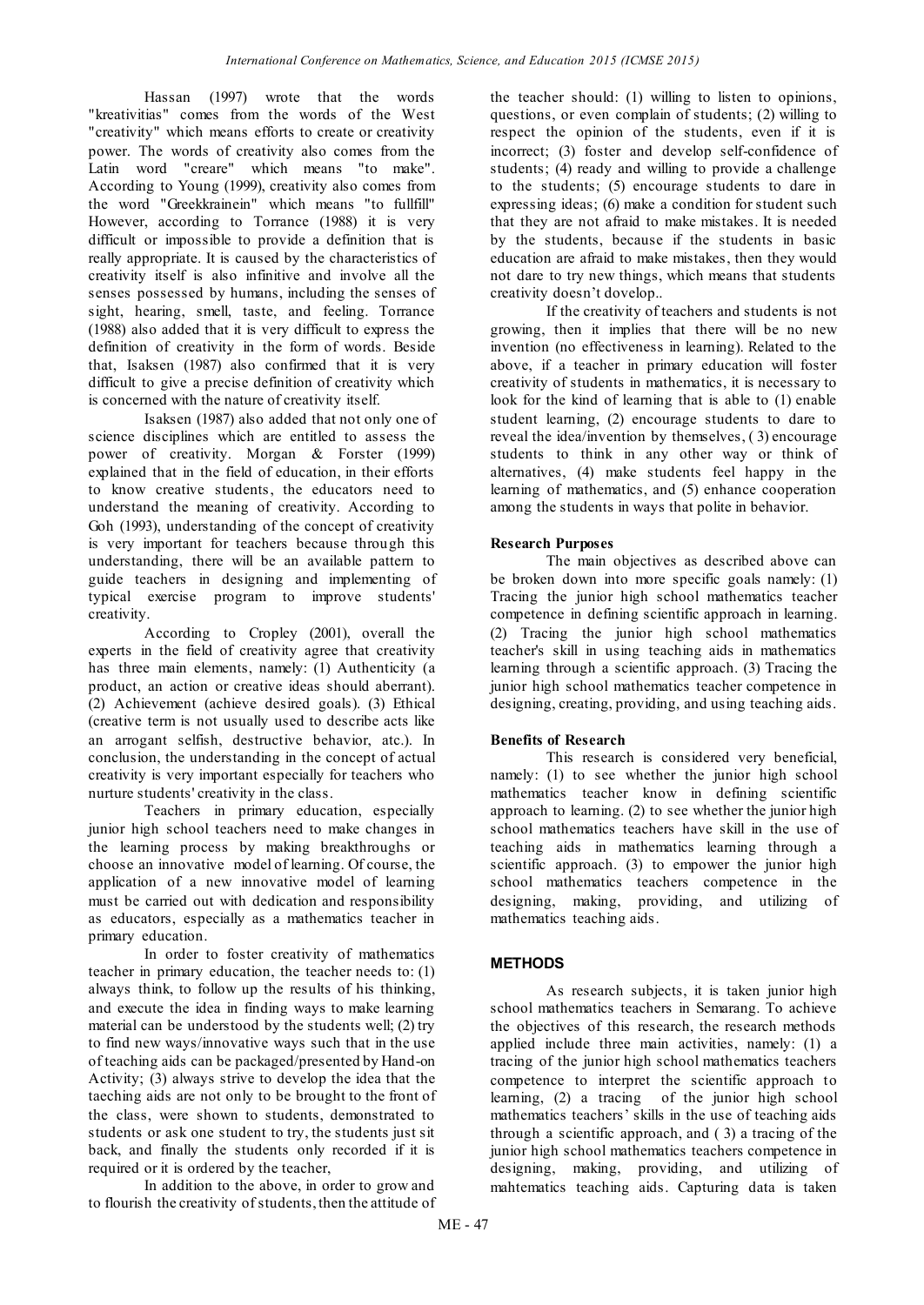Hassan (1997) wrote that the words "kreativitias" comes from the words of the West "creativity" which means efforts to create or creativity power. The words of creativity also comes from the Latin word "creare" which means "to make". According to Young (1999), creativity also comes from the word "Greekkrainein" which means "to fullfill" However, according to Torrance (1988) it is very difficult or impossible to provide a definition that is really appropriate. It is caused by the characteristics of creativity itself is also infinitive and involve all the senses possessed by humans, including the senses of sight, hearing, smell, taste, and feeling. Torrance (1988) also added that it is very difficult to express the definition of creativity in the form of words. Beside that, Isaksen (1987) also confirmed that it is very difficult to give a precise definition of creativity which is concerned with the nature of creativity itself.

Isaksen (1987) also added that not only one of science disciplines which are entitled to assess the power of creativity. Morgan & Forster (1999) explained that in the field of education, in their efforts to know creative students, the educators need to understand the meaning of creativity. According to Goh (1993), understanding of the concept of creativity is very important for teachers because through this understanding, there will be an available pattern to guide teachers in designing and implementing of typical exercise program to improve students' creativity.

According to Cropley (2001), overall the experts in the field of creativity agree that creativity has three main elements, namely: (1) Authenticity (a product, an action or creative ideas should aberrant). (2) Achievement (achieve desired goals). (3) Ethical (creative term is not usually used to describe acts like an arrogant selfish, destructive behavior, atc.). In conclusion, the understanding in the concept of actual creativity is very important especially for teachers who nurture students' creativity in the class.

Teachers in primary education, especially junior high school teachers need to make changes in the learning process by making breakthroughs or choose an innovative model of learning. Of course, the application of a new innovative model of learning must be carried out with dedication and responsibility as educators, especially as a mathematics teacher in primary education.

In order to foster creativity of mathematics teacher in primary education, the teacher needs to: (1) always think, to follow up the results of his thinking, and execute the idea in finding ways to make learning material can be understood by the students well; (2) try to find new ways/innovative ways such that in the use of teaching aids can be packaged/presented by Hand-on Activity; (3) always strive to develop the idea that the taeching aids are not only to be brought to the front of the class, were shown to students, demonstrated to students or ask one student to try, the students just sit back, and finally the students only recorded if it is required or it is ordered by the teacher,

In addition to the above, in order to grow and to flourish the creativity of students, then the attitude of the teacher should: (1) willing to listen to opinions, questions, or even complain of students; (2) willing to respect the opinion of the students, even if it is incorrect; (3) foster and develop self-confidence of students; (4) ready and willing to provide a challenge to the students; (5) encourage students to dare in expressing ideas; (6) make a condition for student such that they are not afraid to make mistakes. It is needed by the students, because if the students in basic education are afraid to make mistakes, then they would not dare to try new things, which means that students creativity doesn't dovelop..

If the creativity of teachers and students is not growing, then it implies that there will be no new invention (no effectiveness in learning). Related to the above, if a teacher in primary education will foster creativity of students in mathematics, it is necessary to look for the kind of learning that is able to (1) enable student learning, (2) encourage students to dare to reveal the idea/invention by themselves, ( 3) encourage students to think in any other way or think of alternatives, (4) make students feel happy in the learning of mathematics, and (5) enhance cooperation among the students in ways that polite in behavior.

## **Research Purposes**

The main objectives as described above can be broken down into more specific goals namely: (1) Tracing the junior high school mathematics teacher competence in defining scientific approach in learning. (2) Tracing the junior high school mathematics teacher's skill in using teaching aids in mathematics learning through a scientific approach. (3) Tracing the junior high school mathematics teacher competence in designing, creating, providing, and using teaching aids.

## **Benefits of Research**

This research is considered very beneficial, namely: (1) to see whether the junior high school mathematics teacher know in defining scientific approach to learning. (2) to see whether the junior high school mathematics teachers have skill in the use of teaching aids in mathematics learning through a scientific approach. (3) to empower the junior high school mathematics teachers competence in the designing, making, providing, and utilizing of mathematics teaching aids.

## **METHODS**

As research subjects, it is taken junior high school mathematics teachers in Semarang. To achieve the objectives of this research, the research methods applied include three main activities, namely: (1) a tracing of the junior high school mathematics teachers competence to interpret the scientific approach to learning, (2) a tracing of the junior high school mathematics teachers' skills in the use of teaching aids through a scientific approach, and ( 3) a tracing of the junior high school mathematics teachers competence in designing, making, providing, and utilizing of mahtematics teaching aids. Capturing data is taken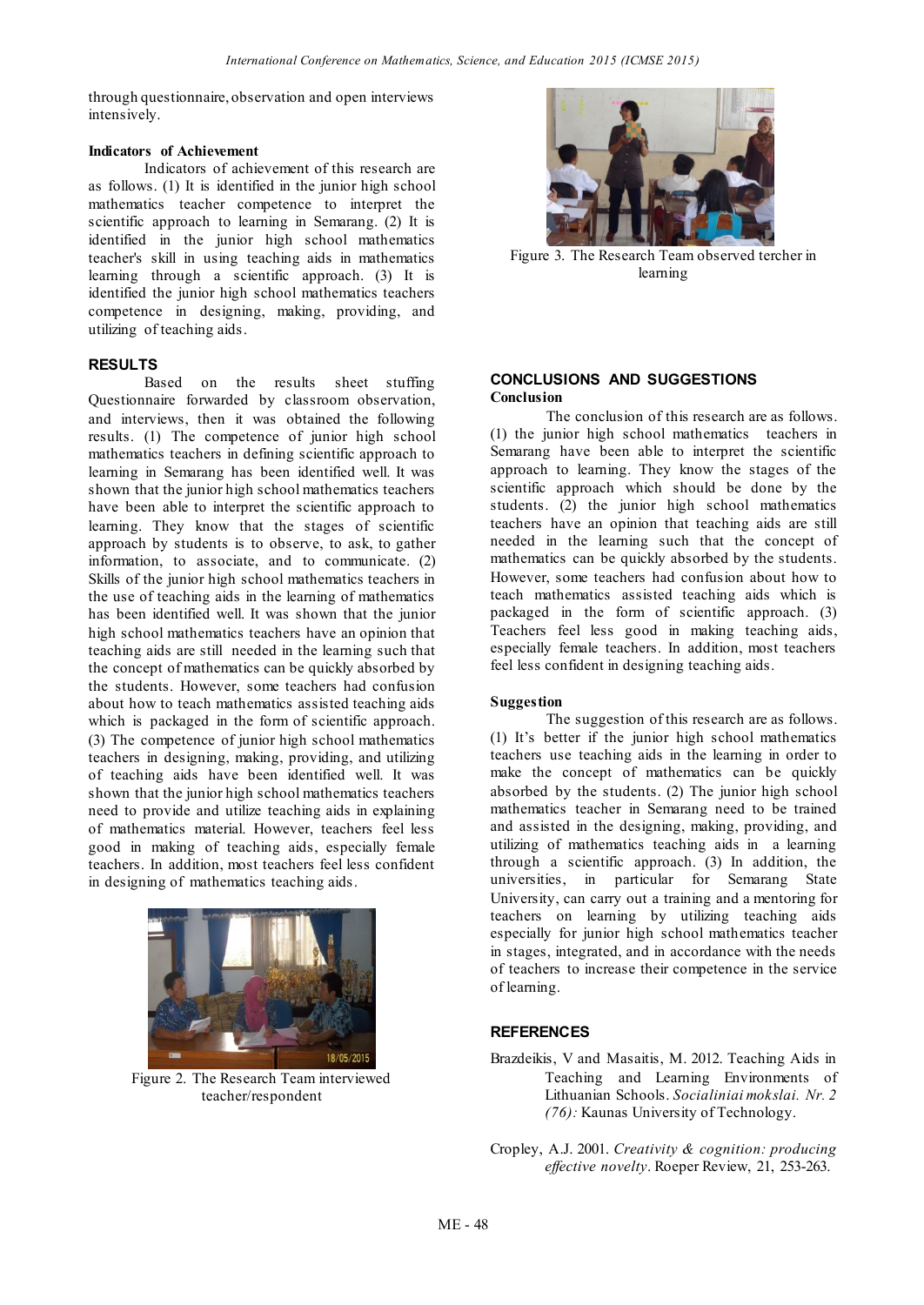through questionnaire, observation and open interviews intensively.

#### **Indicators of Achievement**

Indicators of achievement of this research are as follows. (1) It is identified in the junior high school mathematics teacher competence to interpret the scientific approach to learning in Semarang. (2) It is identified in the junior high school mathematics teacher's skill in using teaching aids in mathematics learning through a scientific approach. (3) It is identified the junior high school mathematics teachers competence in designing, making, providing, and utilizing of teaching aids.

## **RESULTS**

Based on the results sheet stuffing Questionnaire forwarded by classroom observation, and interviews, then it was obtained the following results. (1) The competence of junior high school mathematics teachers in defining scientific approach to learning in Semarang has been identified well. It was shown that the junior high school mathematics teachers have been able to interpret the scientific approach to learning. They know that the stages of scientific approach by students is to observe, to ask, to gather information, to associate, and to communicate. (2) Skills of the junior high school mathematics teachers in the use of teaching aids in the learning of mathematics has been identified well. It was shown that the junior high school mathematics teachers have an opinion that teaching aids are still needed in the learning such that the concept of mathematics can be quickly absorbed by the students. However, some teachers had confusion about how to teach mathematics assisted teaching aids which is packaged in the form of scientific approach. (3) The competence of junior high school mathematics teachers in designing, making, providing, and utilizing of teaching aids have been identified well. It was shown that the junior high school mathematics teachers need to provide and utilize teaching aids in explaining of mathematics material. However, teachers feel less good in making of teaching aids, especially female teachers. In addition, most teachers feel less confident in designing of mathematics teaching aids.



Figure 2. The Research Team interviewed teacher/respondent



Figure 3. The Research Team observed tercher in learning

## **CONCLUSIONS AND SUGGESTIONS Conclusion**

The conclusion of this research are as follows. (1) the junior high school mathematics teachers in Semarang have been able to interpret the scientific approach to learning. They know the stages of the scientific approach which should be done by the students. (2) the junior high school mathematics teachers have an opinion that teaching aids are still needed in the learning such that the concept of mathematics can be quickly absorbed by the students. However, some teachers had confusion about how to teach mathematics assisted teaching aids which is packaged in the form of scientific approach. (3) Teachers feel less good in making teaching aids, especially female teachers. In addition, most teachers feel less confident in designing teaching aids.

## **Suggestion**

The suggestion of this research are as follows. (1) It's better if the junior high school mathematics teachers use teaching aids in the learning in order to make the concept of mathematics can be quickly absorbed by the students. (2) The junior high school mathematics teacher in Semarang need to be trained and assisted in the designing, making, providing, and utilizing of mathematics teaching aids in a learning through a scientific approach. (3) In addition, the universities, in particular for Semarang State University, can carry out a training and a mentoring for teachers on learning by utilizing teaching aids especially for junior high school mathematics teacher in stages, integrated, and in accordance with the needs of teachers to increase their competence in the service of learning.

## **REFERENCES**

- Brazdeikis, V and Masaitis, M. 2012. Teaching Aids in Teaching and Learning Environments of Lithuanian Schools. *Socialiniai mokslai. Nr. 2 (76):* Kaunas University of Technology.
- Cropley, A.J. 2001. *Creativity & cognition: producing effective novelty*. Roeper Review, 21, 253-263.